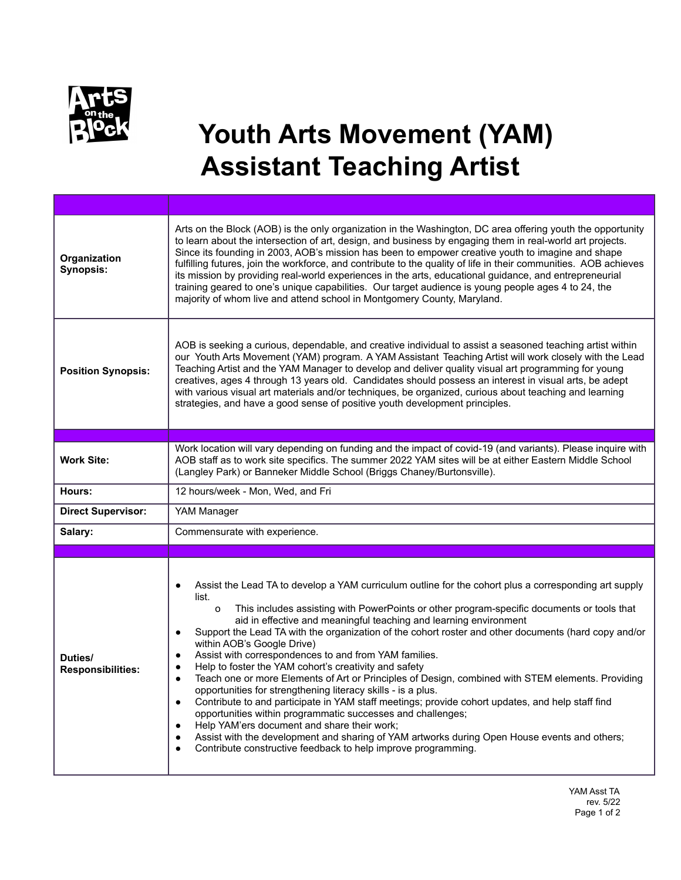

## **Youth Arts Movement (YAM) Assistant Teaching Artist**

| Organization<br>Synopsis:           | Arts on the Block (AOB) is the only organization in the Washington, DC area offering youth the opportunity<br>to learn about the intersection of art, design, and business by engaging them in real-world art projects.<br>Since its founding in 2003, AOB's mission has been to empower creative youth to imagine and shape<br>fulfilling futures, join the workforce, and contribute to the quality of life in their communities. AOB achieves<br>its mission by providing real-world experiences in the arts, educational guidance, and entrepreneurial<br>training geared to one's unique capabilities. Our target audience is young people ages 4 to 24, the<br>majority of whom live and attend school in Montgomery County, Maryland.                                                                                                                                                                                                                                                                                                                                                                                                                                                                                      |
|-------------------------------------|-----------------------------------------------------------------------------------------------------------------------------------------------------------------------------------------------------------------------------------------------------------------------------------------------------------------------------------------------------------------------------------------------------------------------------------------------------------------------------------------------------------------------------------------------------------------------------------------------------------------------------------------------------------------------------------------------------------------------------------------------------------------------------------------------------------------------------------------------------------------------------------------------------------------------------------------------------------------------------------------------------------------------------------------------------------------------------------------------------------------------------------------------------------------------------------------------------------------------------------|
| <b>Position Synopsis:</b>           | AOB is seeking a curious, dependable, and creative individual to assist a seasoned teaching artist within<br>our Youth Arts Movement (YAM) program. A YAM Assistant Teaching Artist will work closely with the Lead<br>Teaching Artist and the YAM Manager to develop and deliver quality visual art programming for young<br>creatives, ages 4 through 13 years old. Candidates should possess an interest in visual arts, be adept<br>with various visual art materials and/or techniques, be organized, curious about teaching and learning<br>strategies, and have a good sense of positive youth development principles.                                                                                                                                                                                                                                                                                                                                                                                                                                                                                                                                                                                                     |
|                                     |                                                                                                                                                                                                                                                                                                                                                                                                                                                                                                                                                                                                                                                                                                                                                                                                                                                                                                                                                                                                                                                                                                                                                                                                                                   |
| <b>Work Site:</b>                   | Work location will vary depending on funding and the impact of covid-19 (and variants). Please inquire with<br>AOB staff as to work site specifics. The summer 2022 YAM sites will be at either Eastern Middle School<br>(Langley Park) or Banneker Middle School (Briggs Chaney/Burtonsville).                                                                                                                                                                                                                                                                                                                                                                                                                                                                                                                                                                                                                                                                                                                                                                                                                                                                                                                                   |
| Hours:                              | 12 hours/week - Mon, Wed, and Fri                                                                                                                                                                                                                                                                                                                                                                                                                                                                                                                                                                                                                                                                                                                                                                                                                                                                                                                                                                                                                                                                                                                                                                                                 |
| <b>Direct Supervisor:</b>           | YAM Manager                                                                                                                                                                                                                                                                                                                                                                                                                                                                                                                                                                                                                                                                                                                                                                                                                                                                                                                                                                                                                                                                                                                                                                                                                       |
| Salary:                             | Commensurate with experience.                                                                                                                                                                                                                                                                                                                                                                                                                                                                                                                                                                                                                                                                                                                                                                                                                                                                                                                                                                                                                                                                                                                                                                                                     |
|                                     |                                                                                                                                                                                                                                                                                                                                                                                                                                                                                                                                                                                                                                                                                                                                                                                                                                                                                                                                                                                                                                                                                                                                                                                                                                   |
| Duties/<br><b>Responsibilities:</b> | Assist the Lead TA to develop a YAM curriculum outline for the cohort plus a corresponding art supply<br>$\bullet$<br>list.<br>$\circ$<br>This includes assisting with PowerPoints or other program-specific documents or tools that<br>aid in effective and meaningful teaching and learning environment<br>Support the Lead TA with the organization of the cohort roster and other documents (hard copy and/or<br>$\bullet$<br>within AOB's Google Drive)<br>Assist with correspondences to and from YAM families.<br>$\bullet$<br>Help to foster the YAM cohort's creativity and safety<br>$\bullet$<br>Teach one or more Elements of Art or Principles of Design, combined with STEM elements. Providing<br>$\bullet$<br>opportunities for strengthening literacy skills - is a plus.<br>Contribute to and participate in YAM staff meetings; provide cohort updates, and help staff find<br>$\bullet$<br>opportunities within programmatic successes and challenges;<br>Help YAM'ers document and share their work;<br>$\bullet$<br>Assist with the development and sharing of YAM artworks during Open House events and others;<br>$\bullet$<br>Contribute constructive feedback to help improve programming.<br>$\bullet$ |